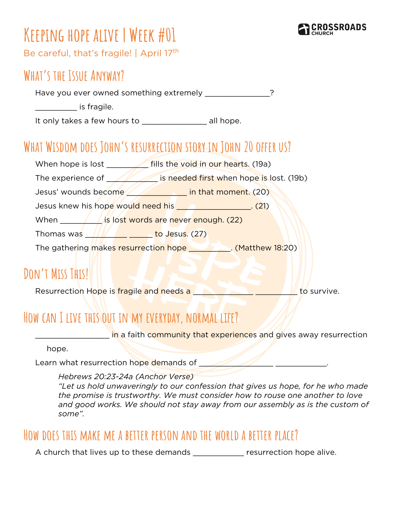

# **Keeping hope alive | Week #01**

Be careful, that's fragile! | April 17<sup>th</sup>

#### **What's the Issue Anyway?**

Have you ever owned something extremely **Fig. 10.18.20.20**?

 $\blacksquare$  is fragile.

It only takes a few hours to example all hope.

### **What Wisdom does John's resurrection story in John 20 offer us?**

When hope is lost \_\_\_\_\_\_\_\_\_ fills the void in our hearts. (19a) The experience of **William** is needed first when hope is lost. (19b) Jesus' wounds become **with the unit of the line that moment.** (20) Jesus knew his hope would need his \_\_\_\_\_\_\_\_\_\_\_\_\_\_\_\_. (21) When **the same is lost words are never enough. (22)** Thomas was **Thomas was to Jesus. (27)** The gathering makes resurrection hope \_\_\_\_\_\_\_\_. (Matthew 18:20)

### **Don't Miss This!**

Resurrection Hope is fragile and needs a **with the survive.** Resurrection Hope is fragile and needs a

## **How can I live this out in my everyday, normal life?**

in a faith community that experiences and gives away resurrection

hope.

Learn what resurrection hope demands of \_\_\_\_\_\_\_\_\_\_\_\_\_\_\_\_ \_\_\_\_\_\_\_\_\_\_\_.

*Hebrews 20:23-24a (Anchor Verse)*

*"Let us hold unwaveringly to our confession that gives us hope, for he who made the promise is trustworthy. We must consider how to rouse one another to love and good works. We should not stay away from our assembly as is the custom of some".*

#### **How does this make me a better person and the world a better place?**

A church that lives up to these demands exactled resurrection hope alive.